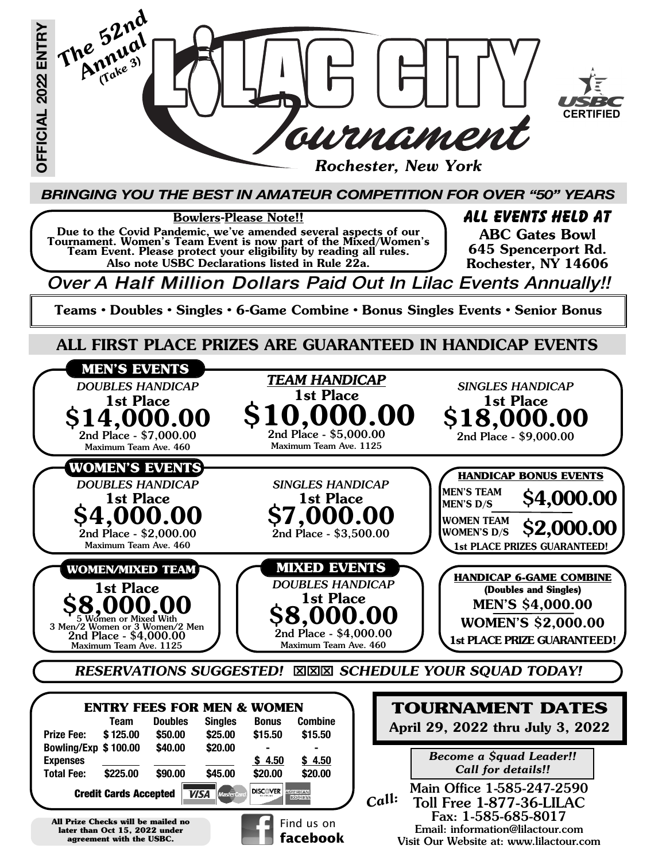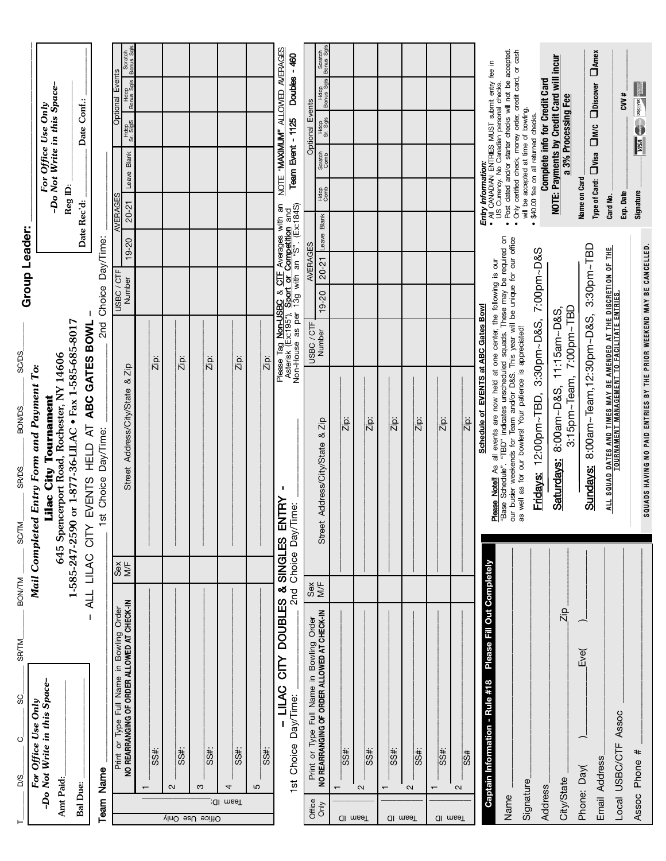| $\vdash$        | <b>BON/TM</b><br><b>SR/TM</b><br>8<br>$\circ$<br>D/S                                    | <b>BON/DS</b><br><b>SRVDS</b><br><b>SC/TM</b>                                                                                                                                                                                             | <b>SC/DS</b>                                                                                                                              | Group Leader:                   |                                     |                                                                                                                                                                                       |  |
|-----------------|-----------------------------------------------------------------------------------------|-------------------------------------------------------------------------------------------------------------------------------------------------------------------------------------------------------------------------------------------|-------------------------------------------------------------------------------------------------------------------------------------------|---------------------------------|-------------------------------------|---------------------------------------------------------------------------------------------------------------------------------------------------------------------------------------|--|
|                 | For Office Use Only                                                                     | Mail Completed Entry Form and Payment To:                                                                                                                                                                                                 |                                                                                                                                           |                                 |                                     |                                                                                                                                                                                       |  |
| Amt Paid:       | -Do Not Write in this Space-                                                            | 645 Spencerport Road, Rochester, NY 14606<br>Lilac City Tournament                                                                                                                                                                        |                                                                                                                                           |                                 |                                     | -Do Not Write in this Space-<br>For Office Use Only                                                                                                                                   |  |
|                 |                                                                                         | 1-585-247-2590 or 1-877-36-LILAC • Fax 1-585-685-8017                                                                                                                                                                                     |                                                                                                                                           |                                 | Reg ID:                             |                                                                                                                                                                                       |  |
| <b>Bal Due:</b> | <b>ALL</b>                                                                              | HELD AT ABC GATES BOWL<br><b>EVENTS</b><br>CITY<br><b>LILAC</b>                                                                                                                                                                           |                                                                                                                                           |                                 | Date Rec'd:                         | Date Conf.:                                                                                                                                                                           |  |
|                 | <b>Team Name</b>                                                                        | Day/Time:<br>st Choice                                                                                                                                                                                                                    |                                                                                                                                           | 2nd Choice Day/Time:            |                                     |                                                                                                                                                                                       |  |
|                 | Print or Type Full Name in Bowling Order<br>NO REARRANGING OF ORDER ALLOWED AT CHECK-IN | Address/City/State<br>Street<br>Sex<br>M≒                                                                                                                                                                                                 | $8$ Zip                                                                                                                                   | $19 - 20$<br>USBC/CTF<br>Number | Leave Blank<br>AVERAGES<br>20-21    | Scratch<br>pnus Sq<br>Bonu<br><b>Optional Events</b><br>Hdcp<br>- Sgls<br>Bonus<br>Hdcp<br>Sr. SiglS                                                                                  |  |
|                 |                                                                                         |                                                                                                                                                                                                                                           |                                                                                                                                           |                                 |                                     |                                                                                                                                                                                       |  |
|                 | SS#:                                                                                    |                                                                                                                                                                                                                                           | Zip:                                                                                                                                      |                                 |                                     |                                                                                                                                                                                       |  |
|                 | $\sim$                                                                                  |                                                                                                                                                                                                                                           |                                                                                                                                           |                                 |                                     |                                                                                                                                                                                       |  |
|                 | ss#                                                                                     |                                                                                                                                                                                                                                           | Zip:                                                                                                                                      |                                 |                                     |                                                                                                                                                                                       |  |
| Vitice Use Only | $\frac{1}{35}$<br>S                                                                     |                                                                                                                                                                                                                                           | Zip:                                                                                                                                      |                                 |                                     |                                                                                                                                                                                       |  |
| Team ID:        | 4                                                                                       |                                                                                                                                                                                                                                           |                                                                                                                                           |                                 |                                     |                                                                                                                                                                                       |  |
|                 | SS#:                                                                                    |                                                                                                                                                                                                                                           | Zip:                                                                                                                                      |                                 |                                     |                                                                                                                                                                                       |  |
|                 | 5                                                                                       |                                                                                                                                                                                                                                           |                                                                                                                                           |                                 |                                     |                                                                                                                                                                                       |  |
|                 | SS#:                                                                                    |                                                                                                                                                                                                                                           | Zip:                                                                                                                                      |                                 |                                     |                                                                                                                                                                                       |  |
|                 | 2nd<br><b>DOUBLES</b><br><b>NIQ</b><br><b>LILAC</b><br>1st Choice Day/Time:             | J,<br>NTRY<br>Time:<br>& SINGLES E<br>Choice Day/                                                                                                                                                                                         | Please Tag Non-USBC & CIT Averages with an<br>Asterisk (Ex:195"), Sport or Competition and<br>Non-House as per 13g with an "S". (Ex:184S) |                                 |                                     | NOTE "MAXIMUM" ALLOWED AVERAGES<br>Doubles - 460<br>Team Event - 1125                                                                                                                 |  |
| Office<br>Only  | Print or Type Full Name in Bowling Order<br>NO REARRANGING OF ORDER ALLOWED AT CHECK-IN | Sex<br>M/F                                                                                                                                                                                                                                | USBC/CTF                                                                                                                                  | AVERAGES                        |                                     | Optional Events                                                                                                                                                                       |  |
|                 |                                                                                         | 8Zip<br>Street Address/City/State                                                                                                                                                                                                         | Number                                                                                                                                    | 20-21 Leave Blank<br>19-20      | Scratch<br>Comb<br>Hdcp<br>Comb     | Scratch<br>Bonus Sgls<br>Hdcp<br>Bonus Sgls<br>Hdcp<br>Sr. Sgls                                                                                                                       |  |
| <b>Team</b> ID  | <del>#</del><br>$\mathbf -$                                                             | Zip:                                                                                                                                                                                                                                      |                                                                                                                                           |                                 |                                     |                                                                                                                                                                                       |  |
|                 | SS#:<br>$\sim$                                                                          | Zip:                                                                                                                                                                                                                                      |                                                                                                                                           |                                 |                                     |                                                                                                                                                                                       |  |
|                 | SS#                                                                                     | $\overline{z}$                                                                                                                                                                                                                            |                                                                                                                                           |                                 |                                     |                                                                                                                                                                                       |  |
| <b>Ji</b> msəT  | $\frac{45}{35}$<br>$\mathbf{\Omega}$                                                    | Zip:                                                                                                                                                                                                                                      |                                                                                                                                           |                                 |                                     |                                                                                                                                                                                       |  |
|                 |                                                                                         |                                                                                                                                                                                                                                           |                                                                                                                                           |                                 |                                     |                                                                                                                                                                                       |  |
| <b>Ul</b> msel  | $\frac{45}{35}$                                                                         | $\overline{z}$ ip:                                                                                                                                                                                                                        |                                                                                                                                           |                                 |                                     |                                                                                                                                                                                       |  |
|                 | $rac{3}{3}$<br>$\sim$                                                                   | Zip:                                                                                                                                                                                                                                      |                                                                                                                                           |                                 |                                     |                                                                                                                                                                                       |  |
|                 | Please Fill Out Completely<br>Captain Information - Rule #18                            |                                                                                                                                                                                                                                           | Schedule of EVENTS at ABC Gates Bowl                                                                                                      |                                 |                                     |                                                                                                                                                                                       |  |
| Name            |                                                                                         | <b>Please Notell</b> As all events are now held at one center, the following is our<br>"Base Schedule". "TBD" indicates unscheduled squads. These may be required on<br>our busier weekends for Team and/or D&S. This year will be unique |                                                                                                                                           |                                 |                                     | <b>Entry Information:</b><br>• All CANADIAN ENTRIES MUST submit entry fee in<br>US Currency. No Canadian personal checks.<br>• Post dated and/or starter checks will not be accepted. |  |
| Signature       |                                                                                         | as well as for our bowlers! Your patience is appreciated!                                                                                                                                                                                 |                                                                                                                                           |                                 |                                     | • Only certified check, money order, credit card, or cash<br>will be accepted at time of bowling.                                                                                     |  |
| Address         |                                                                                         | Fridays: 12:00pm~TBD, 3:30pm~D&S, 7:00pm~D&S                                                                                                                                                                                              |                                                                                                                                           |                                 | \$40.00 fee on all returned checks. | Complete info for Credit Card                                                                                                                                                         |  |
| City/State      | Zip                                                                                     | Saturdays:                                                                                                                                                                                                                                | 8:00am~D&S, 11:15am~D&S,                                                                                                                  |                                 |                                     | NOTE: Payments by Credit Card will incur<br>a 3% Processing Fee                                                                                                                       |  |
|                 | Eve(<br>Phone: Day(                                                                     |                                                                                                                                                                                                                                           | 3:15pm~Team, 7:00pm~TBD                                                                                                                   |                                 | Name on Card                        |                                                                                                                                                                                       |  |
|                 | Email Address                                                                           | <b>Sundays:</b>                                                                                                                                                                                                                           | 8:00am~Team,12:30pm~D&S, 3:30pm~TBD                                                                                                       |                                 | Type of Card: UVisa                 | $\square_{\text{Amex}}$<br><b>O</b> Discover<br>$\square$ w.c                                                                                                                         |  |
|                 | Assoc<br>Local USBC/CTF                                                                 | <u>ALL SQUAD DATES AND TIMES MAY BE AMENDED AT THE DISCRETION OF THE</u><br>TOURNAMENT MANAGEMENT TO FACILITATE ENTRIES.                                                                                                                  |                                                                                                                                           |                                 | Exp. Date<br>Card No.               | 204                                                                                                                                                                                   |  |
|                 | Assoc Phone #                                                                           | SQUADS HAVING NO PAID ENTRIES BY THE PRIOR WEEKEND MAY BE CANCELLED.                                                                                                                                                                      |                                                                                                                                           |                                 | Signature                           | <b>VISA</b> Corporate Discover                                                                                                                                                        |  |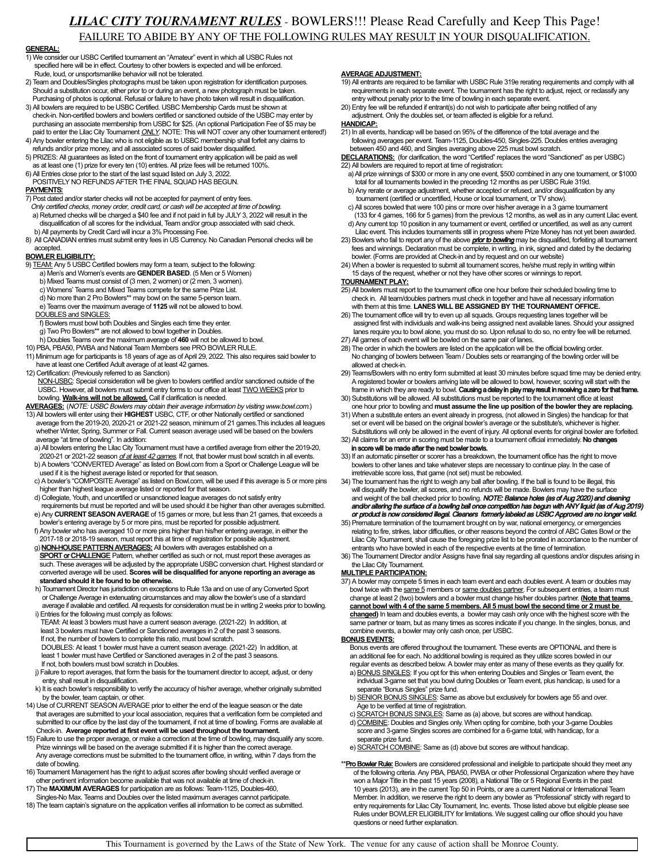## *LILAC CITY TOURNAMENT RULES* - BOWLERS!!! Please Read Carefully and Keep This Page! FAILURE TO ABIDE BY ANY OF THE FOLLOWING RULES MAY RESULT IN YOUR DISQUALIFICATION.

#### **GENERAL:**

- 1) We consider our USBC Certified tournament an "Amateur" event in which all USBC Rules not specified here will be in effect. Courtesy to other bowlers is expected and will be enforced. Rude, loud, or unsportsmanlike behavior will not be tolerated.
- 2) Team and Doubles/Singles photographs must be taken upon registration for identification purposes. Should a substitution occur, either prior to or during an event, a new photograph must be taken Purchasing of photos is optional. Refusal or failure to have photo taken will result in disqualification.
- 3) All bowlers are required to be USBC Certified. USBC Membership Cards must be shown at check-in. Non-certified bowlers and bowlers certified or sanctioned outside of the USBC may enter by purchasing an associate membership from USBC for \$25. (An optional Participation Fee of \$5 may be paid to enter the Lilac City Tournament ONLY. NOTE: This will NOT cover any other tournament entered!)
- 4) Any bowler entering the Lilac who is not eligible as to USBC membership shall forfeit any claims to refunds and/or prize money, and all associated scores of said bowler disqualified.
- 5) PRIZES: All guarantees as listed on the front of tournament entry application will be paid as well as at least one (1) prize for every ten (10) entries. All prize fees will be returned 100%.
- 6) All Entries close prior to the start of the last squad listed on July 3, 2022. POSITIVELY NO REFUNDS AFTER THE FINAL SQUAD HAS BEGUN.

### PAYMENTS:

- 7) Post dated and/or starter checks will not be accepted for payment of entry fees.
- Only certified checks, money order, credit card, or cash will be accepted at time of bowling.
- a) Returned checks will be charged a \$40 fee and if not paid in full by JULY 3, 2022 will result in the disqualification of all scores for the individual, Team and/or group associated with said check. b) All payments by Credit Card will incur a 3% Processing Fee.
- 8) All CANADIAN entries must submit entry fees in US Currency. No Canadian Personal checks will be accepted.

#### **BOWLER ELIGIBILITY:**

- 9) TEAM: Any 5 USBC Certified bowlers may form a team, subject to the following: a) Men's and Women's events are **GENDER BASED**. (5 Men or 5 Women)
	- b) Mixed Teams must consist of (3 men, 2 women) or (2 men, 3 women).
	- c) Womens' Teams and Mixed Teams compete for the same Prize List.
	- d) No more than 2 Pro Bowlers\*\* may bowl on the same 5-person team. e) Teams over the maximum average of **1125** will not be allowed to bowl.
	- DOUBLES and SINGLES:
	- f) Bowlers must bowl both Doubles and Singles each time they enter.
	- g) Two Pro Bowlers<sup>\*\*</sup> are not allowed to bowl together in Doubles.
	-
- h) Doubles Teams over the maximum average of **460** will not be allowed to bowl. 10) PBA, PBA50, PWBA and National Team Members see PRO BOWLER RULE.
- 11) Minimum age for participants is 18 years of age as of April 29, 2022. This also requires said bowler to have at least one Certified Adult average of at least 42 games.
- 12) Certification: (Previously referred to as Sanction)
- NON-USBC: Special consideration will be given to bowlers certified and/or sanctioned outside of the USBC. However, all bowlers must submit entry forms to our office at least TWO WEEKS prior to bowling. **Walk-ins will not be allowed.** Call if clarification is needed.
- **AVERAGES:** (NOTE: USBC Bowlers may obtain their average information by visiting www.bowl.com.)
- 13) All bowlers will enter using their **HIGHEST** USBC, CTF, or other Nationally certified or sanctioned average from the 2019-20, 2020-21 or 2021-22 season, minimum of 21 games.This includes all leagues whether Winter, Spring, Summer or Fall. Current season average used will be based on the bowlers average "at time of bowling". In addition:
	- a) All bowlers entering the Lilac City Tournament must have a certified average from either the 2019-20, 2020-21 or 2021-22 season of at least 42 games. If not, that bowler must bowl scratch in all events. b) A bowlers "CONVERTED Average" as listed on Bowl.com from a Sport or Challenge League will be
	- used if it is the highest average listed or reported for that season. c) A bowler's "COMPOSITE Average" as listed on Bowl.com, will be used if this average is 5 or more pins higher than highest league average listed or reported for that season.
	- d) Collegiate, Youth, and uncertified or unsanctioned league averages do not satisfy entry
	- requirements but must be reported and will be used should it be higher than other averages submitted. e) Any **CURRENT SEASON AVERAGE** of 15 games or more, but less than 21 games, that exceeds a bowler's entering average by 5 or more pins, must be reported for possible adjustment.
	- f) Any bowler who has averaged 10 or more pins higher than his/her entering average, in either the 2017-18 or 2018-19 season, must report this at time of registration for possible adjustment.
	- g) **NON-HOUSE PATTERN AVERAGES:** All bowlers with averages established on a **SPORT or CHALLENGE** Pattern, whether certified as such or not, must report these averages as such. These averages will be adjusted by the appropriate USBC conversion chart. Highest standard or converted average will be used. **Scores will be disqualified for anyone reporting an average as standard should it be found to be otherwise.**
	- h) Tournament Director has jurisdiction on exceptions to Rule 13a and on use of any Converted Sport or Challenge Average in extenuating circumstances and may allow the bowler's use of a standard average if available and certified. All requests for consideration must be in writing 2 weeks prior to bowling. i) Entries for the following must comply as follows:
	- TEAM: At least 3 bowlers must have a current season average. (2021-22) In addition, at least 3 bowlers must have Certified or Sanctioned averages in 2 of the past 3 seasons. If not, the number of bowlers to complete this ratio, must bowl scratch. DOUBLES: At least 1 bowler must have a current season average. (2021-22) In addition, at
	- least 1 bowler must have Certified or Sanctioned averages in 2 of the past 3 seasons. If not, both bowlers must bowl scratch in Doubles.
	- j) Failure to report averages, that form the basis for the tournament director to accept, adjust, or deny entry, shall result in disqualification.
- k) It is each bowler's responsibility to verify the accuracy of his/her average, whether originally submitted by the bowler, team captain, or other.
- 14) Use of CURRENT SEASON AVERAGE prior to either the end of the league season or the date that averages are submitted to your local association, requires that a verification form be completed and submitted to our office by the last day of the tournament, if not at time of bowling. Forms are available at Check-in. **Average reported at first event will be used throughout the tournament.**
- 15) Failure to use the proper average, or make a correction at the time of bowling, may disqualify any score. Prize winnings will be based on the average submitted if it is higher than the correct average. Any average corrections must be submitted to the tournament office, in writing, within 7 days from the date of bowling.
- 16) Tournament Management has the right to adjust scores after bowling should verified average or other pertinent information become available that was not available at time of check-in.
- 17) The **MAXIMUM AVERAGES** for participation are as follows: Team-1125, Doubles-460, Singles-No Max. Teams and Doubles over the listed maximum averages cannot participate.
- 18) The team captain's signature on the application verifies all information to be correct as submitted.

#### **AVERAGE ADJUSTMENT:**

- 19) All entrants are required to be familiar with USBC Rule 319e rerating requirements and comply with all requirements in each separate event. The tournament has the right to adjust, reject, or reclassify any entry without penalty prior to the time of bowling in each separate event.
- 20) Entry fee will be refunded if entrant(s) do not wish to participate after being notified of any adjustment. Only the doubles set, or team affected is eligible for a refund.

#### **HANDICAP:**

- 21) In all events, handicap will be based on 95% of the difference of the total average and the following averages per event. Team-1125, Doubles-450, Singles-225. Doubles entries averaging between 450 and 460, and Singles averaging above 225 must bowl scratch.
- DECLARATIONS: (for clarification, the word "Certified" replaces the word "Sanctioned" as per USBC) 22) All bowlers are required to report at time of registration:
- a) All prize winnings of \$300 or more in any one event, \$500 combined in any one tournament, or \$1000 total for all tournaments bowled in the preceding 12 months as per USBC Rule 319d.
- b) Any rerate or average adjustment, whether accepted or refused, and/or disqualification by any tournament (certified or uncertified, House or local tournament, or TV show).
- c) All scores bowled that were 100 pins or more over his/her average in a 3 game tournament (133 for 4 games, 166 for 5 games) from the previous 12 months, as well as in any current Lilac event. d) Any current top 10 position in any tournament or event, certified or uncertified, as well as any current
- Lilac event. This includes tournaments still in progress where Prize Money has not yet been awarded. 23) Bowlers who fail to report any of the above **prior to bowling** may be disqualified, forfeiting all tournament fees and winnings. Declaration must be complete, in writing, in ink, signed and dated by the declaring
- bowler. (Forms are provided at Check-in and by request and on our website) 24) When a bowler is requested to submit all tournament scores, he/she must reply in writing within 15 days of the request, whether or not they have other scores or winnings to report.

#### **TOURNAMENT PLAY:**

- 25) All bowlers must report to the tournament office one hour before their scheduled bowling time to check in. All team/doubles partners must check in together and have all necessary information with them at this time. **LANES WILL BE ASSIGNED BY THE TOURNAMENT OFFICE.**
- 26) The tournament office will try to even up all squads. Groups requesting lanes together will be assigned first with individuals and walk-ins being assigned next available lanes. Should your assigned lanes require you to bowl alone, you must do so. Upon refusal to do so, no entry fee will be returned. 27) All games of each event will be bowled on the same pair of lanes.
- 28) The order in which the bowlers are listed on the application will be the official bowling order.
- No changing of bowlers between Team / Doubles sets or rearranging of the bowling order will be allowed at check-in. 29) Teams/Bowlers with no entry form submitted at least 30 minutes before squad time may be denied entry.
- A registered bowler or bowlers arriving late will be allowed to bowl, however, scoring will start with the frame in which they are ready to bowl. Causing a delay in play may result in receiving a zero for that frame.
- 30) Substitutions will be allowed. All substitutions must be reported to the tournament office at lea one hour prior to bowling and **must assume the line up position of the bowler they are replacing.**
- 31) When a substitute enters an event already in progress, (not allowed in Singles) the handicap for that set or event will be based on the original bowler's average or the substitute's, whichever is higher. Substitutions will only be allowed in the event of injury. All optional events for original bowler are forfeited.
- 32) All claims for an error in scoring must be made to a tournament official immediately. No changes in score will be made after the next bowler bowls.
- 33) If an automatic pinsetter or scorer has a breakdown, the tournament office has the right to move bowlers to other lanes and take whatever steps are necessary to continue play. In the case of irretrievable score loss, that game (not set) must be rebowled.
- 34) The tournament has the right to weigh any ball after bowling. If the ball is found to be illegal, this will disqualify the bowler, all scores, and no refunds will be made. Bowlers may have the surface<br>and weight of the ball checked prior to bowling. **NOTE: Balance holes (as of Aug 2020) and deaning**<br>**and/or attemty the surf**
- 35) Premature termination of the tournament brought on by war, national emergency, or emergencies relating to fire, strikes, labor difficulties, or other reasons beyond the control of ABC Gates Bowl or the Lilac City Tournament, shall cause the foregoing prize list to be prorated in accordance to the number of entrants who have bowled in each of the respective events at the time of termination.
- 36) The Tournament Director and/or Assigns have final say regarding all questions and/or disputes arising in the Lilac City Tournament.

#### **MULTIPLE PARTICIPATION:**

37) A bowler may compete 5 times in each team event and each doubles event. A team or doubles may bowl twice with the same 5 members or same doubles partner. For subsequent entries, a team must change at least 2 (two) bowlers and a bowler must change his/her doubles partner. **(Note that teams cannot bowl with 4 of the same 5 members. All 5 must bowl the second time or 2 must be changed)** In team and doubles events, a bowler may cash only once with the highest score with the same partner or team, but as many times as scores indicate if you change. In the singles, bonus, and combine events, a bowler may only cash once, per USBC.

#### **BONUS EVENTS:**

- Bonus events are offered throughout the tournament. These events are OPTIONAL and there is an additional fee for each. No additional bowling is required as they utilize scores bowled in our regular events as described below. A bowler may enter as many of these events as they qualify for.
- a) BONUS SINGLES: If you opt for this when entering Doubles and Singles or Team event, the individual 3-game set that you bowl during Doubles or Team event, plus handicap, is used for a separate "Bonus Singles" prize fund.
- b) SENIOR BONUS SINGLES: Same as above but exclusively for bowlers age 55 and over. Age to be verified at time of registration.
- c) SCRATCH BONUS SINGLES: Same as (a) above, but scores are without handicap.
- d) COMBINE: Doubles and Singles only. When opting for combine, both your 3-game Doubles score and 3-game Singles scores are combined for a 6-game total, with handicap, for a separate prize fund.
- e) SCRATCH COMBINE: Same as (d) above but scores are without handicap.
- \*\***Pro Bowler Rule:** Bowlers are considered professional and ineligible to participate should they meet any of the following criteria. Any PBA, PBA50, PWBA or other Professional Organization where they have won a Major Title in the past 15 years (2008), a National Title or 5 Regional Events in the past 10 years (2013), are in the current Top 50 in Points, or are a current National or International Team Member. In addition, we reserve the right to deem any bowler as "Professional" strictly with regard to entry requirements for Lilac City Tournament, Inc. events. Those listed above but eligible please see Rules under BOWLER ELIGIBILITY for limitations. We suggest calling our office should you have questions or need further explanation.